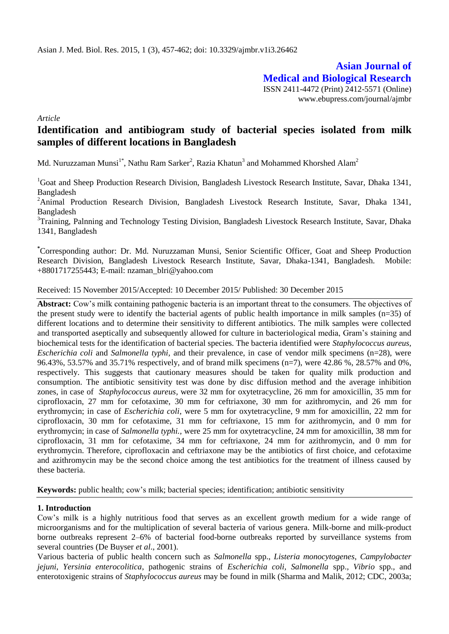**Asian Journal of Medical and Biological Research** ISSN 2411-4472 (Print) 2412-5571 (Online) www.ebupress.com/journal/ajmbr

*Article*

# **Identification and antibiogram study of bacterial species isolated from milk samples of different locations in Bangladesh**

Md. Nuruzzaman Munsi $^{1*}$ , Nathu Ram Sarker<sup>2</sup>, Razia Khatun $^3$  and Mohammed Khorshed Alam<sup>2</sup>

<sup>1</sup>Goat and Sheep Production Research Division, Bangladesh Livestock Research Institute, Savar, Dhaka 1341, Bangladesh

<sup>2</sup>Animal Production Research Division, Bangladesh Livestock Research Institute, Savar, Dhaka 1341, Bangladesh

<sup>3</sup>Training, Palnning and Technology Testing Division, Bangladesh Livestock Research Institute, Savar, Dhaka 1341, Bangladesh

**\***Corresponding author: Dr. Md. Nuruzzaman Munsi, Senior Scientific Officer, Goat and Sheep Production Research Division, Bangladesh Livestock Research Institute, Savar, Dhaka-1341, Bangladesh. Mobile: +8801717255443; E-mail: [nzaman\\_blri@yahoo.com](mailto:nzaman_blri@yahoo.com)

Received: 15 November 2015/Accepted: 10 December 2015/ Published: 30 December 2015

**Abstract:** Cow's milk containing pathogenic bacteria is an important threat to the consumers. The objectives of the present study were to identify the bacterial agents of public health importance in milk samples (n=35) of different locations and to determine their sensitivity to different antibiotics. The milk samples were collected and transported aseptically and subsequently allowed for culture in bacteriological media, Gram's staining and biochemical tests for the identification of bacterial species. The bacteria identified were *Staphylococcus aureus, Escherichia coli* and *Salmonella typhi,* and their prevalence, in case of vendor milk specimens (n=28), were 96.43%, 53.57% and 35.71% respectively, and of brand milk specimens (n=7), were 42.86 %, 28.57% and 0%, respectively. This suggests that cautionary measures should be taken for quality milk production and consumption. The antibiotic sensitivity test was done by disc diffusion method and the average inhibition zones, in case of *Staphylococcus aureus*, were 32 mm for oxytetracycline, 26 mm for amoxicillin, 35 mm for ciprofloxacin, 27 mm for cefotaxime, 30 mm for ceftriaxone, 30 mm for azithromycin, and 26 mm for erythromycin; in case of *Escherichia coli*, were 5 mm for oxytetracycline, 9 mm for amoxicillin, 22 mm for ciprofloxacin, 30 mm for cefotaxime, 31 mm for ceftriaxone, 15 mm for azithromycin, and 0 mm for erythromycin; in case of *Salmonella typhi.,* were 25 mm for oxytetracycline, 24 mm for amoxicillin, 38 mm for ciprofloxacin, 31 mm for cefotaxime, 34 mm for ceftriaxone, 24 mm for azithromycin, and 0 mm for erythromycin. Therefore, ciprofloxacin and ceftriaxone may be the antibiotics of first choice, and cefotaxime and azithromycin may be the second choice among the test antibiotics for the treatment of illness caused by these bacteria.

**Keywords:** public health; cow's milk; bacterial species; identification; antibiotic sensitivity

## **1. Introduction**

Cow's milk is a highly nutritious food that serves as an excellent growth medium for a wide range of microorganisms and for the multiplication of several bacteria of various genera. Milk-borne and milk-product borne outbreaks represent 2–6% of bacterial food-borne outbreaks reported by surveillance systems from several countries (De Buyser *et al*., 2001).

Various bacteria of public health concern such as *Salmonella* spp., *Listeria monocytogenes*, *Campylobacter jejuni*, *Yersinia enterocolitica*, pathogenic strains of *Escherichia coli, Salmonella* spp.*, Vibrio* spp.*,* and enterotoxigenic strains of *Staphylococcus aureus* may be found in milk (Sharma and Malik, 2012; CDC, 2003a;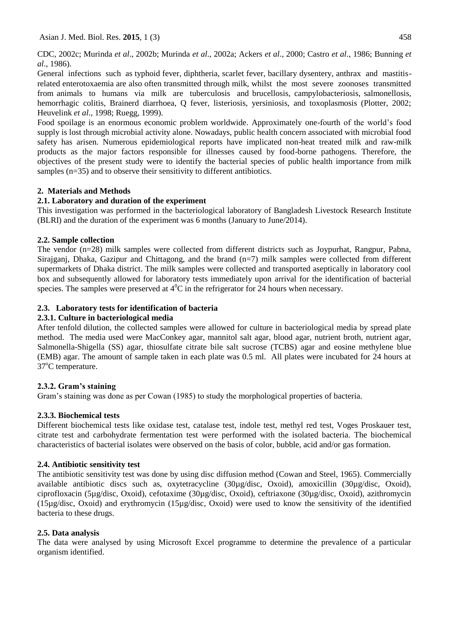CDC, 2002c; Murinda *et al*., 2002b; Murinda *et al*., 2002a; Ackers *et al*., 2000; Castro *et al*., 1986; Bunning *et al*., 1986).

General infections such as typhoid fever, diphtheria, scarlet fever, bacillary dysentery, anthrax and mastitisrelated enterotoxaemia are also often transmitted through milk, whilst the most severe zoonoses transmitted from animals to humans via milk are tuberculosis and brucellosis, campylobacteriosis, salmonellosis, hemorrhagic colitis, Brainerd diarrhoea, Q fever, listeriosis, yersiniosis, and toxoplasmosis (Plotter, 2002; Heuvelink *et al*., 1998; Ruegg, 1999).

Food spoilage is an enormous economic problem worldwide. Approximately one-fourth of the world's food supply is lost through microbial activity alone. Nowadays, public health concern associated with microbial food safety has arisen. Numerous epidemiological reports have implicated non-heat treated milk and raw-milk products as the major factors responsible for illnesses caused by food-borne pathogens. Therefore, the objectives of the present study were to identify the bacterial species of public health importance from milk samples (n=35) and to observe their sensitivity to different antibiotics.

## **2. Materials and Methods**

## **2.1. Laboratory and duration of the experiment**

This investigation was performed in the bacteriological laboratory of Bangladesh Livestock Research Institute (BLRI) and the duration of the experiment was 6 months (January to June/2014).

## **2.2. Sample collection**

The vendor (n=28) milk samples were collected from different districts such as Joypurhat, Rangpur, Pabna, Sirajganj, Dhaka, Gazipur and Chittagong, and the brand (n=7) milk samples were collected from different supermarkets of Dhaka district. The milk samples were collected and transported aseptically in laboratory cool box and subsequently allowed for laboratory tests immediately upon arrival for the identification of bacterial species. The samples were preserved at  $4^{\circ}$ C in the refrigerator for 24 hours when necessary.

## **2.3. Laboratory tests for identification of bacteria**

## **2.3.1. Culture in bacteriological media**

After tenfold dilution, the collected samples were allowed for culture in bacteriological media by spread plate method. The media used were MacConkey agar, mannitol salt agar, blood agar, nutrient broth, nutrient agar, Salmonella-Shigella (SS) agar, thiosulfate citrate bile salt sucrose (TCBS) agar and eosine methylene blue (EMB) agar. The amount of sample taken in each plate was 0.5 ml. All plates were incubated for 24 hours at 37°C temperature.

## **2.3.2. Gram's staining**

Gram's staining was done as per Cowan (1985) to study the morphological properties of bacteria.

## **2.3.3. Biochemical tests**

Different biochemical tests like oxidase test, catalase test, indole test, methyl red test, Voges Proskauer test, citrate test and carbohydrate fermentation test were performed with the isolated bacteria. The biochemical characteristics of bacterial isolates were observed on the basis of color, bubble, acid and/or gas formation.

## **2.4. Antibiotic sensitivity test**

The antibiotic sensitivity test was done by using disc diffusion method (Cowan and Steel, 1965). Commercially available antibiotic discs such as, oxytetracycline (30µg/disc, Oxoid), amoxicillin (30µg/disc, Oxoid), ciprofloxacin (5µg/disc, Oxoid), cefotaxime (30µg/disc, Oxoid), ceftriaxone (30µg/disc, Oxoid), azithromycin (15µg/disc, Oxoid) and erythromycin (15µg/disc, Oxoid) were used to know the sensitivity of the identified bacteria to these drugs.

## **2.5. Data analysis**

The data were analysed by using Microsoft Excel programme to determine the prevalence of a particular organism identified.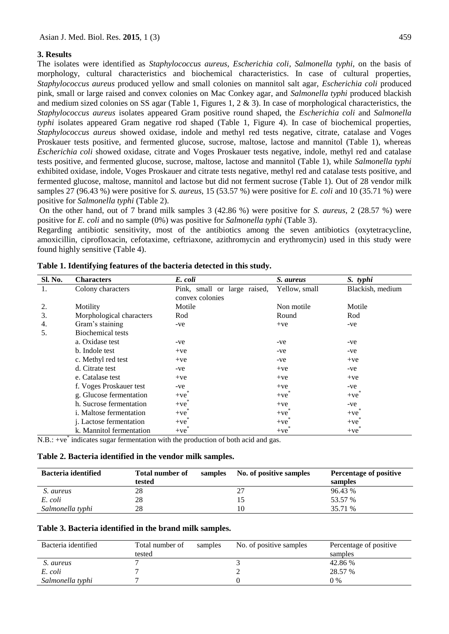#### **3. Results**

The isolates were identified as *Staphylococcus aureus, Escherichia coli*, *Salmonella typhi*, on the basis of morphology, cultural characteristics and biochemical characteristics. In case of cultural properties, *Staphylococcus aureus* produced yellow and small colonies on mannitol salt agar, *Escherichia coli* produced pink, small or large raised and convex colonies on Mac Conkey agar, and *Salmonella typhi* produced blackish and medium sized colonies on SS agar (Table 1, Figures 1, 2 & 3). In case of morphological characteristics, the *Staphylococcus aureus* isolates appeared Gram positive round shaped, the *Escherichia coli* and *Salmonella typhi* isolates appeared Gram negative rod shaped (Table 1, Figure 4). In case of biochemical properties, *Staphylococcus aureus* showed oxidase, indole and methyl red tests negative, citrate, catalase and Voges Proskauer tests positive, and fermented glucose, sucrose, maltose, lactose and mannitol (Table 1), whereas *Escherichia coli* showed oxidase, citrate and Voges Proskauer tests negative, indole, methyl red and catalase tests positive, and fermented glucose, sucrose, maltose, lactose and mannitol (Table 1), while *Salmonella typhi* exhibited oxidase, indole, Voges Proskauer and citrate tests negative, methyl red and catalase tests positive, and fermented glucose, maltose, mannitol and lactose but did not ferment sucrose (Table 1). Out of 28 vendor milk samples 27 (96.43 %) were positive for *S. aureus*, 15 (53.57 %) were positive for *E. coli* and 10 (35.71 %) were positive for *Salmonella typhi* (Table 2).

On the other hand, out of 7 brand milk samples 3 (42.86 %) were positive for *S. aureus*, 2 (28.57 %) were positive for *E. coli* and no sample (0%) was positive for *Salmonella typhi* (Table 3).

Regarding antibiotic sensitivity, most of the antibiotics among the seven antibiotics (oxytetracycline, amoxicillin, ciprofloxacin, cefotaxime, ceftriaxone, azithromycin and erythromycin) used in this study were found highly sensitive (Table 4).

| Sl. No. | <b>Characters</b>              | E. coli                      | S. aureus     | S. typhi         |
|---------|--------------------------------|------------------------------|---------------|------------------|
| 1.      | Colony characters              | Pink, small or large raised, | Yellow, small | Blackish, medium |
|         |                                | convex colonies              |               |                  |
| 2.      | Motility                       | Motile                       | Non motile    | Motile           |
| 3.      | Morphological characters       | Rod                          | Round         | Rod              |
| 4.      | Gram's staining                | -ve                          | $+ve$         | -ve              |
| 5.      | Biochemical tests              |                              |               |                  |
|         | a. Oxidase test                | -ve                          | -ve           | -ve              |
|         | b. Indole test                 | $+ve$                        | -ve           | -ve              |
|         | c. Methyl red test             | $+ve$                        | -ve           | $+ve$            |
|         | d. Citrate test                | $-ve$                        | $+ve$         | -ve              |
|         | e. Catalase test               | $+ve$                        | $+ve$         | $+ve$            |
|         | f. Voges Proskauer test        | -ve                          | $+ve$         | -ve              |
|         | g. Glucose fermentation        | $+ve$                        | $+ve$         | $+ve$            |
|         | h. Sucrose fermentation        | $+ve$                        | $+ve$         | -ve              |
|         | <i>i.</i> Maltose fermentation | $+ve$                        | $+ve$         | $+ve$            |
|         | j. Lactose fermentation        | $+ve$                        | $+ve$         | $+ve$            |
|         | k. Mannitol fermentation       | $+ve$                        | $+ve$         | $+ve$            |

**Table 1. Identifying features of the bacteria detected in this study.**

N.B.: +ve<sup>\*</sup> indicates sugar fermentation with the production of both acid and gas.

#### **Table 2. Bacteria identified in the vendor milk samples.**

| <b>Bacteria identified</b> | <b>Total number of</b> | samples | No. of positive samples | Percentage of positive |
|----------------------------|------------------------|---------|-------------------------|------------------------|
|                            | tested                 |         |                         | samples                |
| S. aureus                  | 28                     |         | 27                      | 96.43 %                |
| E. coli                    | 28                     |         |                         | 53.57 %                |
| Salmonella typhi           | 28                     |         | 10                      | 35.71 %                |

#### **Table 3. Bacteria identified in the brand milk samples.**

| Bacteria identified | Total number of | samples | No. of positive samples | Percentage of positive |
|---------------------|-----------------|---------|-------------------------|------------------------|
|                     | tested          |         |                         | samples                |
| S. aureus           |                 |         |                         | 42.86 %                |
| E. coli             |                 |         |                         | 28.57 %                |
| Salmonella typhi    |                 |         |                         | $0\%$                  |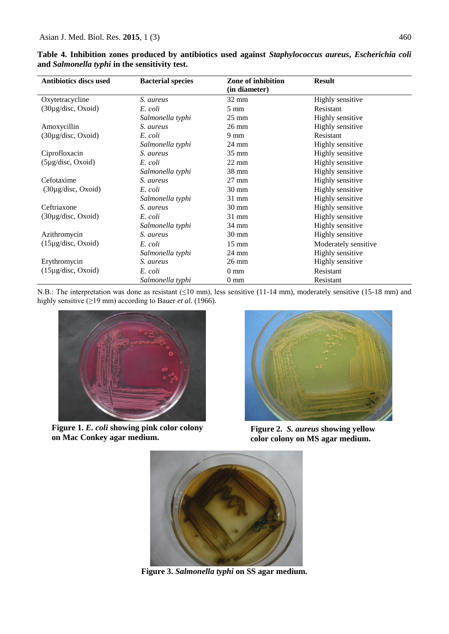| <b>Antibiotics discs used</b>        | <b>Bacterial species</b> | Zone of inhibition<br>(in diameter) | <b>Result</b>           |
|--------------------------------------|--------------------------|-------------------------------------|-------------------------|
| Oxytetracycline                      | S. aureus                | $32 \text{ mm}$                     | Highly sensitive        |
| $(30\mu g/disc, Oxoid)$              | E. coli                  | $5 \text{ mm}$                      | Resistant               |
|                                      | Salmonella typhi         | $25 \text{ mm}$                     | Highly sensitive        |
| Amoxycillin                          | S. aureus                | $26 \text{ mm}$                     | Highly sensitive        |
| $(30\mu g/disc, Oxoid)$              | E. coli                  | $9 \text{ mm}$                      | Resistant               |
|                                      | Salmonella typhi         | $24 \text{ mm}$                     | <b>Highly sensitive</b> |
| Ciprofloxacin                        | S. aureus                | 35 mm                               | Highly sensitive        |
| $(5\mu g/disc, Oxoid)$               | E. coli                  | $22 \text{ mm}$                     | Highly sensitive        |
|                                      | Salmonella typhi         | $38 \text{ mm}$                     | Highly sensitive        |
| Cefotaxime                           | S. aureus                | $27 \text{ mm}$                     | Highly sensitive        |
| $(30\mu g/disc, Oxoid)$              | E. coli                  | $30 \text{ mm}$                     | Highly sensitive        |
|                                      | Salmonella typhi         | $31$ mm                             | Highly sensitive        |
| Ceftriaxone                          | S. aureus                | $30 \text{ mm}$                     | Highly sensitive        |
| $(30\mu\text{g/disc}, \text{Oxoid})$ | E. coli                  | $31$ mm                             | Highly sensitive        |
|                                      | Salmonella typhi         | 34 mm                               | Highly sensitive        |
| Azithromycin                         | S. aureus                | $30 \text{ mm}$                     | Highly sensitive        |
| $(15\mu g/disc, Oxoid)$              | E. coli                  | $15 \text{ mm}$                     | Moderately sensitive    |
|                                      | Salmonella typhi         | 24 mm                               | Highly sensitive        |
| Erythromycin                         | S. aureus                | $26 \text{ mm}$                     | Highly sensitive        |
| $(15\mu\text{g/disc}, \text{Oxoid})$ | E. coli                  | $0 \text{ mm}$                      | Resistant               |
|                                      | Salmonella typhi         | $0 \text{ mm}$                      | Resistant               |

**Table 4. Inhibition zones produced by antibiotics used against** *Staphylococcus aureus***,** *Escherichia coli* **and** *Salmonella typhi* **in the sensitivity test.**

N.B.: The interpretation was done as resistant (≤10 mm), less sensitive (11-14 mm), moderately sensitive (15-18 mm) and highly sensitive (≥19 mm) according to Bauer *et al.* (1966).



**Figure 1.** *E. coli* **showing pink color colony on Mac Conkey agar medium.**



**Figure 2.** *S. aureus* **showing yellow color colony on MS agar medium.**



**Figure 3.** *Salmonella typhi* **on SS agar medium.**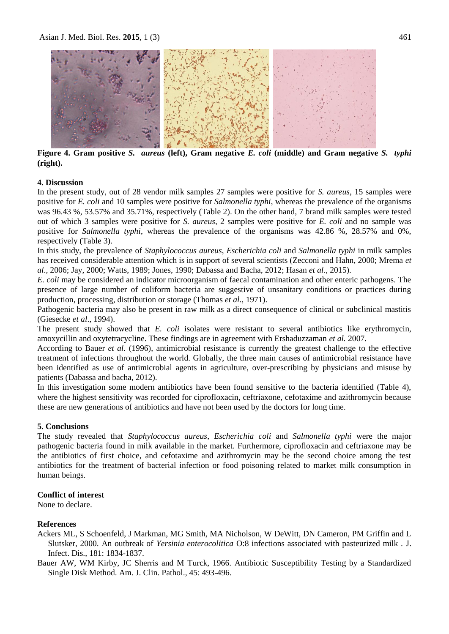

**Figure 4. Gram positive** *S. aureus* **(left), Gram negative** *E. coli* **(middle) and Gram negative** *S. typhi* **(right).**

## **4. Discussion**

In the present study, out of 28 vendor milk samples 27 samples were positive for *S. aureus*, 15 samples were positive for *E. coli* and 10 samples were positive for *Salmonella typhi*, whereas the prevalence of the organisms was 96.43 %, 53.57% and 35.71%, respectively (Table 2). On the other hand, 7 brand milk samples were tested out of which 3 samples were positive for *S. aureus*, 2 samples were positive for *E. coli* and no sample was positive for *Salmonella typhi*, whereas the prevalence of the organisms was 42.86 %, 28.57% and 0%, respectively (Table 3).

In this study, the prevalence of *Staphylococcus aureus*, *Escherichia coli* and *Salmonella typhi* in milk samples has received considerable attention which is in support of several scientists (Zecconi and Hahn, 2000; Mrema *et al*., 2006; Jay, 2000; Watts, 1989; Jones, 1990; [Dabassa and Bacha, 2012;](http://scialert.net/fulltext/?doi=jms.2012.224.228&org=11#1108599_ja) Hasan *et al*., 2015).

*E. coli* may be considered an indicator microorganism of faecal contamination and other enteric pathogens. The presence of large number of coliform bacteria are suggestive of unsanitary conditions or practices during production, processing, distribution or storage (Thomas *et al.*, 1971).

Pathogenic bacteria may also be present in raw milk as a direct consequence of clinical or subclinical mastitis (Giesecke *et al*., 1994).

The present study showed that *E. coli* isolates were resistant to several antibiotics like erythromycin, amoxycillin and oxytetracycline. These findings are in agreement with Ershaduzzaman *et al.* 2007.

According to Bauer *et al.* (1996), antimicrobial resistance is currently the greatest challenge to the effective treatment of infections throughout the world. Globally, the three main causes of antimicrobial resistance have been identified as use of antimicrobial agents in agriculture, over-prescribing by physicians and misuse by patients (Dabassa and bacha, 2012).

In this investigation some modern antibiotics have been found sensitive to the bacteria identified (Table 4), where the highest sensitivity was recorded for ciprofloxacin, ceftriaxone, cefotaxime and azithromycin because these are new generations of antibiotics and have not been used by the doctors for long time.

## **5. Conclusions**

The study revealed that *Staphylococcus aureus*, *Escherichia coli* and *Salmonella typhi* were the major pathogenic bacteria found in milk available in the market. Furthermore, ciprofloxacin and ceftriaxone may be the antibiotics of first choice, and cefotaxime and azithromycin may be the second choice among the test antibiotics for the treatment of bacterial infection or food poisoning related to market milk consumption in human beings.

## **Conflict of interest**

None to declare.

## **References**

- Ackers ML, S Schoenfeld, J Markman, MG Smith, MA Nicholson, W DeWitt, DN Cameron, PM Griffin and L Slutsker, 2000. An outbreak of *Yersinia enterocolitica* O:8 infections associated with pasteurized milk . J. Infect. Dis., 181: 1834-1837.
- Bauer AW, WM Kirby, JC Sherris and M Turck, 1966. Antibiotic Susceptibility Testing by a Standardized Single Disk Method. Am. J. Clin. Pathol., 45: 493-496.